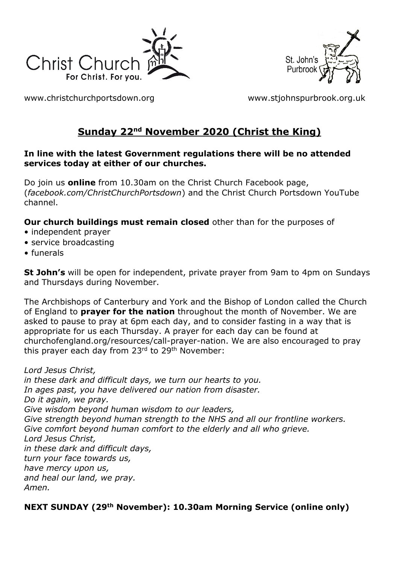



[www.christchurchportsdown.org](http://www.christchurchportsdown.org/) [www.stjohnspurbrook.org.uk](http://www.stjohnspurbrook.org.uk/)

# **Sunday 22nd November 2020 (Christ the King)**

#### **In line with the latest Government regulations there will be no attended services today at either of our churches.**

Do join us **online** from 10.30am on the Christ Church Facebook page, (*facebook.com/ChristChurchPortsdown*) and the Christ Church Portsdown YouTube channel.

**Our church buildings must remain closed** other than for the purposes of

- independent prayer
- service broadcasting
- funerals

**St John's** will be open for independent, private prayer from 9am to 4pm on Sundays and Thursdays during November.

The Archbishops of Canterbury and York and the Bishop of London called the Church of England to **prayer for the nation** throughout the month of November. We are asked to pause to pray at 6pm each day, and to consider fasting in a way that is appropriate for us each Thursday. A prayer for each day can be found at churchofengland.org/resources/call-prayer-nation. We are also encouraged to pray this prayer each day from 23<sup>rd</sup> to 29<sup>th</sup> November:

*Lord Jesus Christ, in these dark and difficult days, we turn our hearts to you. In ages past, you have delivered our nation from disaster. Do it again, we pray. Give wisdom beyond human wisdom to our leaders, Give strength beyond human strength to the NHS and all our frontline workers. Give comfort beyond human comfort to the elderly and all who grieve. Lord Jesus Christ, in these dark and difficult days, turn your face towards us, have mercy upon us, and heal our land, we pray. Amen.*

### **NEXT SUNDAY (29th November): 10.30am Morning Service (online only)**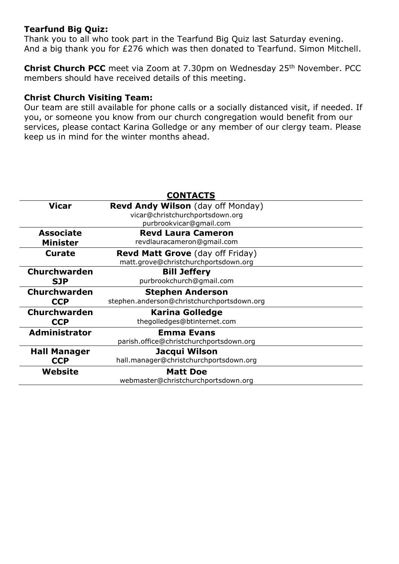#### **Tearfund Big Quiz:**

Thank you to all who took part in the Tearfund Big Quiz last Saturday evening. And a big thank you for £276 which was then donated to Tearfund. Simon Mitchell.

**Christ Church PCC** meet via Zoom at 7.30pm on Wednesday 25<sup>th</sup> November. PCC members should have received details of this meeting.

#### **Christ Church Visiting Team:**

Our team are still available for phone calls or a socially distanced visit, if needed. If you, or someone you know from our church congregation would benefit from our services, please contact Karina Golledge or any member of our clergy team. Please keep us in mind for the winter months ahead.

|                      | <b>CONTACTS</b>                            |
|----------------------|--------------------------------------------|
| <b>Vicar</b>         | <b>Revd Andy Wilson</b> (day off Monday)   |
|                      | vicar@christchurchportsdown.org            |
|                      | purbrookvicar@gmail.com                    |
| <b>Associate</b>     | <b>Revd Laura Cameron</b>                  |
| <b>Minister</b>      | revdlauracameron@gmail.com                 |
| Curate               | <b>Revd Matt Grove</b> (day off Friday)    |
|                      | matt.grove@christchurchportsdown.org       |
| Churchwarden         | <b>Bill Jeffery</b>                        |
| <b>SJP</b>           | purbrookchurch@gmail.com                   |
| <b>Churchwarden</b>  | <b>Stephen Anderson</b>                    |
| <b>CCP</b>           | stephen.anderson@christchurchportsdown.org |
| <b>Churchwarden</b>  | <b>Karina Golledge</b>                     |
|                      |                                            |
| <b>CCP</b>           | thegolledges@btinternet.com                |
| <b>Administrator</b> | <b>Emma Evans</b>                          |
|                      | parish.office@christchurchportsdown.org    |
| <b>Hall Manager</b>  | Jacqui Wilson                              |
| <b>CCP</b>           | hall.manager@christchurchportsdown.org     |
| Website              | <b>Matt Doe</b>                            |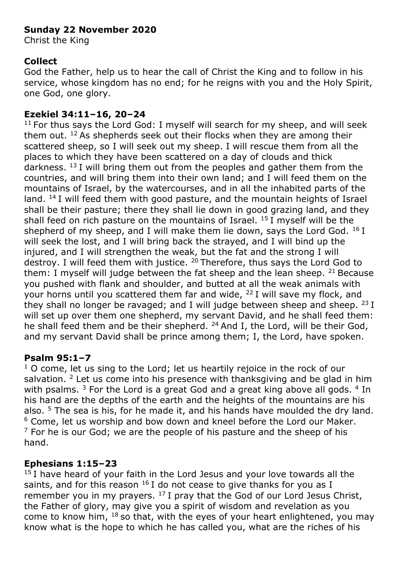## **Sunday 22 November 2020**

Christ the King

### **Collect**

God the Father, help us to hear the call of Christ the King and to follow in his service, whose kingdom has no end; for he reigns with you and the Holy Spirit, one God, one glory.

#### **Ezekiel 34:11–16, 20–24**

 $11$  For thus says the Lord God: I myself will search for my sheep, and will seek them out.  $12$  As shepherds seek out their flocks when they are among their scattered sheep, so I will seek out my sheep. I will rescue them from all the places to which they have been scattered on a day of clouds and thick darkness.  $^{13}$  I will bring them out from the peoples and gather them from the countries, and will bring them into their own land; and I will feed them on the mountains of Israel, by the watercourses, and in all the inhabited parts of the land. <sup>14</sup> I will feed them with good pasture, and the mountain heights of Israel shall be their pasture; there they shall lie down in good grazing land, and they shall feed on rich pasture on the mountains of Israel.  $15$  I myself will be the shepherd of my sheep, and I will make them lie down, says the Lord God.  $^{16}$  I will seek the lost, and I will bring back the strayed, and I will bind up the injured, and I will strengthen the weak, but the fat and the strong I will destroy. I will feed them with justice. <sup>20</sup> Therefore, thus says the Lord God to them: I myself will judge between the fat sheep and the lean sheep.  $21$  Because you pushed with flank and shoulder, and butted at all the weak animals with your horns until you scattered them far and wide,  $^{22}$  I will save my flock, and they shall no longer be ravaged; and I will judge between sheep and sheep.  $^{23}$  I will set up over them one shepherd, my servant David, and he shall feed them: he shall feed them and be their shepherd. <sup>24</sup> And I, the Lord, will be their God, and my servant David shall be prince among them; I, the Lord, have spoken.

### **Psalm 95:1–7**

 $1$  O come, let us sing to the Lord; let us heartily rejoice in the rock of our salvation.  $2$  Let us come into his presence with thanksgiving and be glad in him with psalms.  $3$  For the Lord is a great God and a great king above all gods.  $4$  In his hand are the depths of the earth and the heights of the mountains are his also. <sup>5</sup> The sea is his, for he made it, and his hands have moulded the dry land.  $6$  Come, let us worship and bow down and kneel before the Lord our Maker.  $7$  For he is our God; we are the people of his pasture and the sheep of his hand.

### **Ephesians 1:15–23**

 $15$  I have heard of your faith in the Lord Jesus and your love towards all the saints, and for this reason  $^{16}$  I do not cease to give thanks for you as I remember you in my prayers.  $^{17}$  I pray that the God of our Lord Jesus Christ, the Father of glory, may give you a spirit of wisdom and revelation as you come to know him, <sup>18</sup> so that, with the eyes of your heart enlightened, you may know what is the hope to which he has called you, what are the riches of his